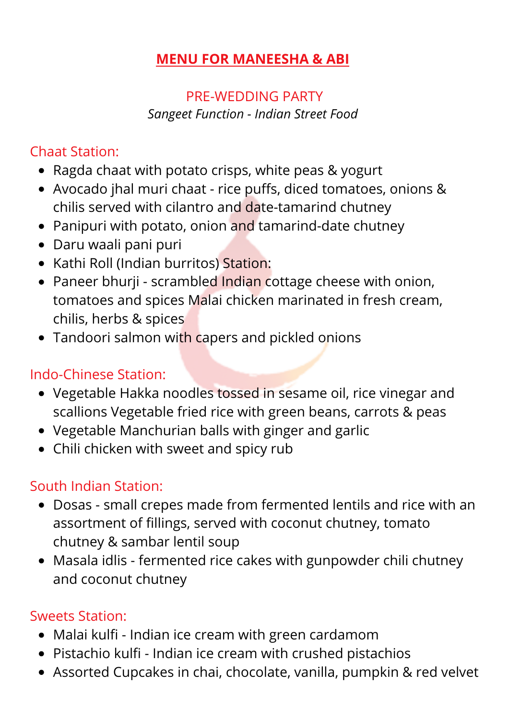#### **MENU FOR MANEESHA & ABI**

#### PRE-WEDDING PARTY *Sangeet Function - Indian Street Food*

### Chaat Station:

- Ragda chaat with potato crisps, white peas & yogurt
- Avocado jhal muri chaat rice puffs, diced tomatoes, onions & chilis served with cilantro and date-tamarind chutney
- Panipuri with potato, onion and tamarind-date chutney
- Daru waali pani puri
- Kathi Roll (Indian burritos) Station:
- Paneer bhurji scrambled Indian cottage cheese with onion, tomatoes and spices Malai chicken marinated in fresh cream, chilis, herbs & spices
- Tandoori salmon with capers and pickled onions

### Indo-Chinese Station:

- Vegetable Hakka noodles tossed in sesame oil, rice vinegar and scallions Vegetable fried rice with green beans, carrots & peas
- Vegetable Manchurian balls with ginger and garlic
- Chili chicken with sweet and spicy rub

## South Indian Station:

- Dosas small crepes made from fermented lentils and rice with an assortment of fillings, served with coconut chutney, tomato chutney & sambar lentil soup
- Masala idlis fermented rice cakes with gunpowder chili chutney and coconut chutney

#### Sweets Station:

- Malai kulfi Indian ice cream with green cardamom
- Pistachio kulfi Indian ice cream with crushed pistachios
- Assorted Cupcakes in chai, chocolate, vanilla, pumpkin & red velvet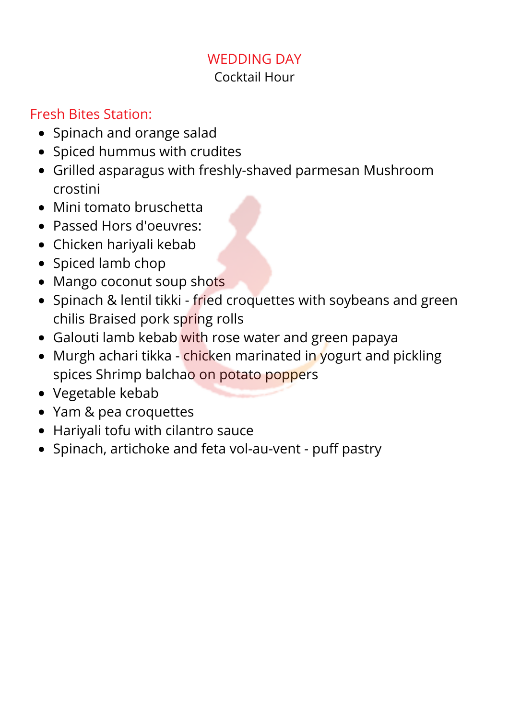# WEDDING DAY

#### Cocktail Hour

#### Fresh Bites Station:

- Spinach and orange salad
- Spiced hummus with crudites
- Grilled asparagus with freshly-shaved parmesan Mushroom crostini
- Mini tomato bruschetta
- Passed Hors d'oeuvres:
- Chicken hariyali kebab
- Spiced lamb chop
- Mango coconut soup shots
- Spinach & lentil tikki fried croquettes with soybeans and green chilis Braised pork spring rolls
- Galouti lamb kebab with rose water and green papaya
- Murgh achari tikka chicken marinated in yogurt and pickling spices Shrimp balchao on potato poppers
- Vegetable kebab
- Yam & pea croquettes
- Hariyali tofu with cilantro sauce
- Spinach, artichoke and feta vol-au-vent puff pastry